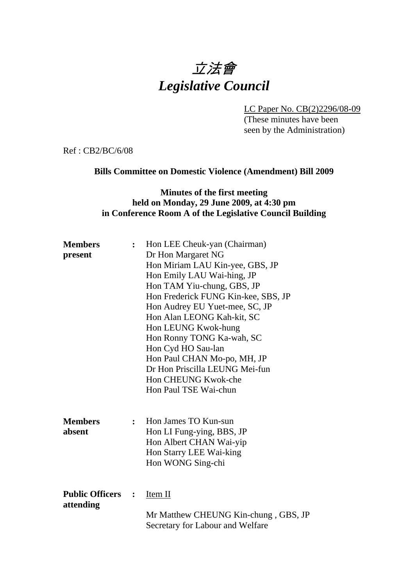# 立法會 *Legislative Council*

LC Paper No. CB(2)2296/08-09

(These minutes have been seen by the Administration)

Ref : CB2/BC/6/08

## **Bills Committee on Domestic Violence (Amendment) Bill 2009**

## **Minutes of the first meeting held on Monday, 29 June 2009, at 4:30 pm in Conference Room A of the Legislative Council Building**

| <b>Members</b><br>present           | $\ddot{\cdot}$ | Hon LEE Cheuk-yan (Chairman)<br>Dr Hon Margaret NG<br>Hon Miriam LAU Kin-yee, GBS, JP<br>Hon Emily LAU Wai-hing, JP                                                                                                                                                                                                          |
|-------------------------------------|----------------|------------------------------------------------------------------------------------------------------------------------------------------------------------------------------------------------------------------------------------------------------------------------------------------------------------------------------|
|                                     |                | Hon TAM Yiu-chung, GBS, JP<br>Hon Frederick FUNG Kin-kee, SBS, JP<br>Hon Audrey EU Yuet-mee, SC, JP<br>Hon Alan LEONG Kah-kit, SC<br>Hon LEUNG Kwok-hung<br>Hon Ronny TONG Ka-wah, SC<br>Hon Cyd HO Sau-lan<br>Hon Paul CHAN Mo-po, MH, JP<br>Dr Hon Priscilla LEUNG Mei-fun<br>Hon CHEUNG Kwok-che<br>Hon Paul TSE Wai-chun |
| <b>Members</b><br>absent            | $\ddot{\cdot}$ | Hon James TO Kun-sun<br>Hon LI Fung-ying, BBS, JP<br>Hon Albert CHAN Wai-yip<br>Hon Starry LEE Wai-king<br>Hon WONG Sing-chi                                                                                                                                                                                                 |
| <b>Public Officers</b><br>attending | $\ddot{\cdot}$ | Item II<br>Mr Matthew CHEUNG Kin-chung, GBS, JP<br>Secretary for Labour and Welfare                                                                                                                                                                                                                                          |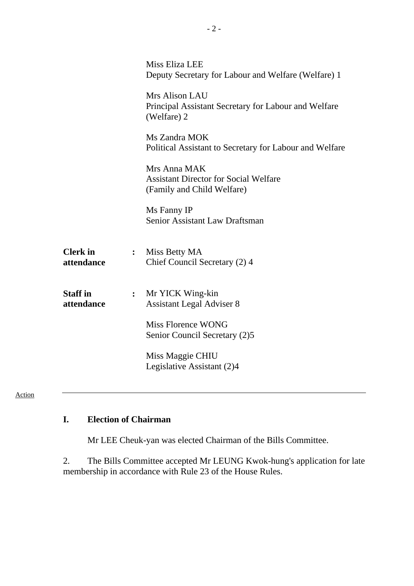|                               |                | Miss Eliza LEE<br>Deputy Secretary for Labour and Welfare (Welfare) 1                      |
|-------------------------------|----------------|--------------------------------------------------------------------------------------------|
|                               |                | Mrs Alison LAU<br>Principal Assistant Secretary for Labour and Welfare<br>(Welfare) 2      |
|                               |                | Ms Zandra MOK<br>Political Assistant to Secretary for Labour and Welfare                   |
|                               |                | Mrs Anna MAK<br><b>Assistant Director for Social Welfare</b><br>(Family and Child Welfare) |
|                               |                | Ms Fanny IP<br>Senior Assistant Law Draftsman                                              |
| <b>Clerk</b> in<br>attendance | $\ddot{\cdot}$ | Miss Betty MA<br>Chief Council Secretary (2) 4                                             |
| <b>Staff</b> in<br>attendance | $\ddot{\cdot}$ | Mr YICK Wing-kin<br><b>Assistant Legal Adviser 8</b>                                       |
|                               |                | <b>Miss Florence WONG</b><br>Senior Council Secretary (2)5                                 |
|                               |                | Miss Maggie CHIU<br>Legislative Assistant (2)4                                             |
|                               |                |                                                                                            |

#### Action

# **I. Election of Chairman**

1. Mr LEE Cheuk-yan was elected Chairman of the Bills Committee.

2. The Bills Committee accepted Mr LEUNG Kwok-hung's application for late membership in accordance with Rule 23 of the House Rules.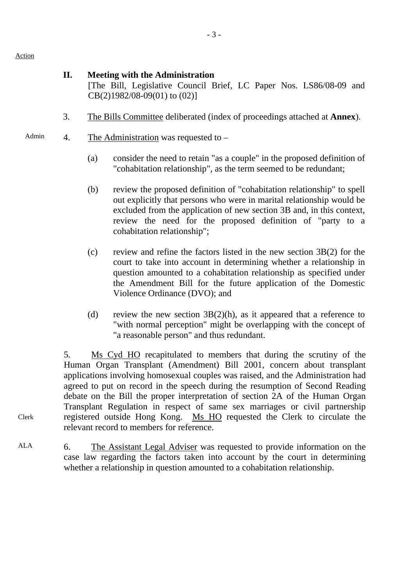Action

Clerk

#### **II. Meeting with the Administration**

[The Bill, Legislative Council Brief, LC Paper Nos. LS86/08-09 and CB(2)1982/08-09(01) to (02)]

- 3. The Bills Committee deliberated (index of proceedings attached at **Annex**).
- Admin 4. The Administration was requested to
	- (a) consider the need to retain "as a couple" in the proposed definition of "cohabitation relationship", as the term seemed to be redundant;
	- (b) review the proposed definition of "cohabitation relationship" to spell out explicitly that persons who were in marital relationship would be excluded from the application of new section 3B and, in this context, review the need for the proposed definition of "party to a cohabitation relationship";
	- (c) review and refine the factors listed in the new section  $3B(2)$  for the court to take into account in determining whether a relationship in question amounted to a cohabitation relationship as specified under the Amendment Bill for the future application of the Domestic Violence Ordinance (DVO); and
	- (d) review the new section  $3B(2)(h)$ , as it appeared that a reference to "with normal perception" might be overlapping with the concept of "a reasonable person" and thus redundant.

5. Ms Cyd HO recapitulated to members that during the scrutiny of the Human Organ Transplant (Amendment) Bill 2001, concern about transplant applications involving homosexual couples was raised, and the Administration had agreed to put on record in the speech during the resumption of Second Reading debate on the Bill the proper interpretation of section 2A of the Human Organ Transplant Regulation in respect of same sex marriages or civil partnership registered outside Hong Kong. Ms HO requested the Clerk to circulate the relevant record to members for reference.

ALA 6. The Assistant Legal Adviser was requested to provide information on the case law regarding the factors taken into account by the court in determining whether a relationship in question amounted to a cohabitation relationship.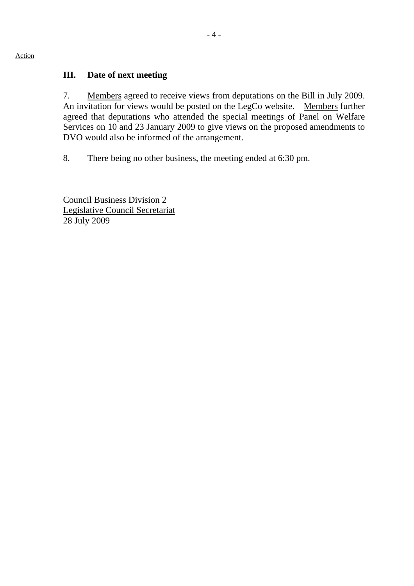# **III. Date of next meeting**

7. Members agreed to receive views from deputations on the Bill in July 2009. An invitation for views would be posted on the LegCo website. Members further agreed that deputations who attended the special meetings of Panel on Welfare Services on 10 and 23 January 2009 to give views on the proposed amendments to DVO would also be informed of the arrangement.

8. There being no other business, the meeting ended at 6:30 pm.

Council Business Division 2 Legislative Council Secretariat 28 July 2009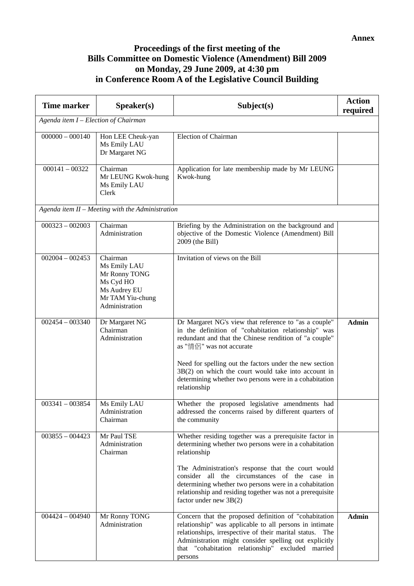#### **Annex**

# **Proceedings of the first meeting of the Bills Committee on Domestic Violence (Amendment) Bill 2009 on Monday, 29 June 2009, at 4:30 pm in Conference Room A of the Legislative Council Building**

| <b>Time marker</b>                   | Speaker(s)                                                                                                   | Subject(s)                                                                                                                                                                                                                                                                                                                                                                                        | <b>Action</b><br>required |  |  |
|--------------------------------------|--------------------------------------------------------------------------------------------------------------|---------------------------------------------------------------------------------------------------------------------------------------------------------------------------------------------------------------------------------------------------------------------------------------------------------------------------------------------------------------------------------------------------|---------------------------|--|--|
| Agenda item I - Election of Chairman |                                                                                                              |                                                                                                                                                                                                                                                                                                                                                                                                   |                           |  |  |
| $000000 - 000140$                    | Hon LEE Cheuk-yan<br>Ms Emily LAU<br>Dr Margaret NG                                                          | <b>Election of Chairman</b>                                                                                                                                                                                                                                                                                                                                                                       |                           |  |  |
| $000141 - 00322$                     | Chairman<br>Mr LEUNG Kwok-hung<br>Ms Emily LAU<br>Clerk                                                      | Application for late membership made by Mr LEUNG<br>Kwok-hung                                                                                                                                                                                                                                                                                                                                     |                           |  |  |
|                                      | Agenda item $II$ – Meeting with the Administration                                                           |                                                                                                                                                                                                                                                                                                                                                                                                   |                           |  |  |
| $000323 - 002003$                    | Chairman<br>Administration                                                                                   | Briefing by the Administration on the background and<br>objective of the Domestic Violence (Amendment) Bill<br>2009 (the Bill)                                                                                                                                                                                                                                                                    |                           |  |  |
| $002004 - 002453$                    | Chairman<br>Ms Emily LAU<br>Mr Ronny TONG<br>Ms Cyd HO<br>Ms Audrey EU<br>Mr TAM Yiu-chung<br>Administration | Invitation of views on the Bill                                                                                                                                                                                                                                                                                                                                                                   |                           |  |  |
| $002454 - 003340$                    | Dr Margaret NG<br>Chairman<br>Administration                                                                 | Dr Margaret NG's view that reference to "as a couple"<br>in the definition of "cohabitation relationship" was<br>redundant and that the Chinese rendition of "a couple"<br>as "情侶" was not accurate<br>Need for spelling out the factors under the new section<br>$3B(2)$ on which the court would take into account in<br>determining whether two persons were in a cohabitation<br>relationship | <b>Admin</b>              |  |  |
| $003341 - 003854$                    | Ms Emily LAU<br>Administration<br>Chairman                                                                   | Whether the proposed legislative amendments had<br>addressed the concerns raised by different quarters of<br>the community                                                                                                                                                                                                                                                                        |                           |  |  |
| $003855 - 004423$                    | Mr Paul TSE<br>Administration<br>Chairman                                                                    | Whether residing together was a prerequisite factor in<br>determining whether two persons were in a cohabitation<br>relationship<br>The Administration's response that the court would<br>consider all the circumstances of the case in<br>determining whether two persons were in a cohabitation<br>relationship and residing together was not a prerequisite<br>factor under new 3B(2)          |                           |  |  |
| $004424 - 004940$                    | Mr Ronny TONG<br>Administration                                                                              | Concern that the proposed definition of "cohabitation<br>relationship" was applicable to all persons in intimate<br>relationships, irrespective of their marital status. The<br>Administration might consider spelling out explicitly<br>that "cohabitation relationship" excluded married<br>persons                                                                                             | <b>Admin</b>              |  |  |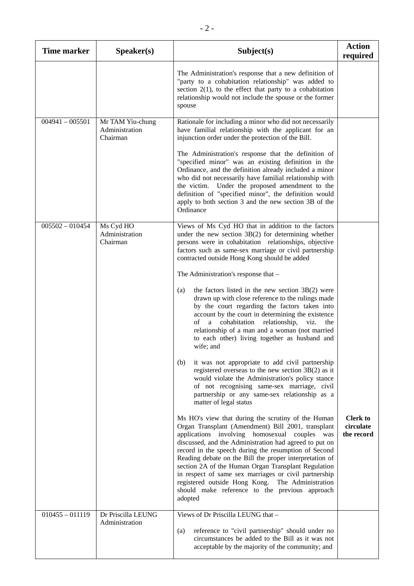| <b>Time marker</b> | Speaker(s)                                     | Subject(s)                                                                                                                                                                                                                                                                                                                                                                                                                                                                                                                                                                 | <b>Action</b><br>required                  |
|--------------------|------------------------------------------------|----------------------------------------------------------------------------------------------------------------------------------------------------------------------------------------------------------------------------------------------------------------------------------------------------------------------------------------------------------------------------------------------------------------------------------------------------------------------------------------------------------------------------------------------------------------------------|--------------------------------------------|
|                    |                                                | The Administration's response that a new definition of<br>"party to a cohabitation relationship" was added to<br>section $2(1)$ , to the effect that party to a cohabitation<br>relationship would not include the spouse or the former<br>spouse                                                                                                                                                                                                                                                                                                                          |                                            |
| $004941 - 005501$  | Mr TAM Yiu-chung<br>Administration<br>Chairman | Rationale for including a minor who did not necessarily<br>have familial relationship with the applicant for an<br>injunction order under the protection of the Bill.                                                                                                                                                                                                                                                                                                                                                                                                      |                                            |
|                    |                                                | The Administration's response that the definition of<br>"specified minor" was an existing definition in the<br>Ordinance, and the definition already included a minor<br>who did not necessarily have familial relationship with<br>Under the proposed amendment to the<br>the victim.<br>definition of "specified minor", the definition would<br>apply to both section 3 and the new section 3B of the<br>Ordinance                                                                                                                                                      |                                            |
| $005502 - 010454$  | Ms Cyd HO<br>Administration<br>Chairman        | Views of Ms Cyd HO that in addition to the factors<br>under the new section $3B(2)$ for determining whether<br>persons were in cohabitation relationships, objective<br>factors such as same-sex marriage or civil partnership<br>contracted outside Hong Kong should be added                                                                                                                                                                                                                                                                                             |                                            |
|                    |                                                | The Administration's response that -                                                                                                                                                                                                                                                                                                                                                                                                                                                                                                                                       |                                            |
|                    |                                                | the factors listed in the new section $3B(2)$ were<br>(a)<br>drawn up with close reference to the rulings made<br>by the court regarding the factors taken into<br>account by the court in determining the existence<br>cohabitation<br>οf<br>relationship,<br>viz.<br>a<br>the<br>relationship of a man and a woman (not married<br>to each other) living together as husband and<br>wife; and                                                                                                                                                                            |                                            |
|                    |                                                | it was not appropriate to add civil partnership<br>(b)<br>registered overseas to the new section $3B(2)$ as it<br>would violate the Administration's policy stance<br>of not recognising same-sex marriage, civil<br>partnership or any same-sex relationship as a<br>matter of legal status                                                                                                                                                                                                                                                                               |                                            |
|                    |                                                | Ms HO's view that during the scrutiny of the Human<br>Organ Transplant (Amendment) Bill 2001, transplant<br>applications involving homosexual couples<br>was<br>discussed, and the Administration had agreed to put on<br>record in the speech during the resumption of Second<br>Reading debate on the Bill the proper interpretation of<br>section 2A of the Human Organ Transplant Regulation<br>in respect of same sex marriages or civil partnership<br>registered outside Hong Kong. The Administration<br>should make reference to the previous approach<br>adopted | <b>Clerk to</b><br>circulate<br>the record |
| $010455 - 011119$  | Dr Priscilla LEUNG<br>Administration           | Views of Dr Priscilla LEUNG that -<br>reference to "civil partnership" should under no<br>(a)<br>circumstances be added to the Bill as it was not<br>acceptable by the majority of the community; and                                                                                                                                                                                                                                                                                                                                                                      |                                            |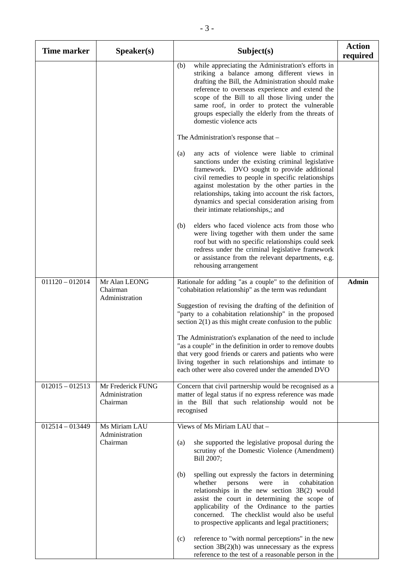| <b>Time marker</b> | Speaker(s)                                      | Subject(s)                                                                                                                                                                                                                                                                                                                                                                                                                                                                                                                                                                                                                                                                                                  | <b>Action</b><br>required |
|--------------------|-------------------------------------------------|-------------------------------------------------------------------------------------------------------------------------------------------------------------------------------------------------------------------------------------------------------------------------------------------------------------------------------------------------------------------------------------------------------------------------------------------------------------------------------------------------------------------------------------------------------------------------------------------------------------------------------------------------------------------------------------------------------------|---------------------------|
|                    |                                                 | while appreciating the Administration's efforts in<br>(b)<br>striking a balance among different views in<br>drafting the Bill, the Administration should make<br>reference to overseas experience and extend the<br>scope of the Bill to all those living under the<br>same roof, in order to protect the vulnerable<br>groups especially the elderly from the threats of<br>domestic violence acts                                                                                                                                                                                                                                                                                                         |                           |
|                    |                                                 | The Administration's response that -                                                                                                                                                                                                                                                                                                                                                                                                                                                                                                                                                                                                                                                                        |                           |
|                    |                                                 | any acts of violence were liable to criminal<br>(a)<br>sanctions under the existing criminal legislative<br>framework. DVO sought to provide additional<br>civil remedies to people in specific relationships<br>against molestation by the other parties in the<br>relationships, taking into account the risk factors,<br>dynamics and special consideration arising from<br>their intimate relationships,; and                                                                                                                                                                                                                                                                                           |                           |
|                    |                                                 | elders who faced violence acts from those who<br>(b)<br>were living together with them under the same<br>roof but with no specific relationships could seek<br>redress under the criminal legislative framework<br>or assistance from the relevant departments, e.g.<br>rehousing arrangement                                                                                                                                                                                                                                                                                                                                                                                                               |                           |
| $011120 - 012014$  | Mr Alan LEONG<br>Chairman<br>Administration     | Rationale for adding "as a couple" to the definition of<br>"cohabitation relationship" as the term was redundant<br>Suggestion of revising the drafting of the definition of<br>"party to a cohabitation relationship" in the proposed                                                                                                                                                                                                                                                                                                                                                                                                                                                                      | <b>Admin</b>              |
|                    |                                                 | section $2(1)$ as this might create confusion to the public<br>The Administration's explanation of the need to include<br>"as a couple" in the definition in order to remove doubts<br>that very good friends or carers and patients who were<br>living together in such relationships and intimate to<br>each other were also covered under the amended DVO                                                                                                                                                                                                                                                                                                                                                |                           |
| $012015 - 012513$  | Mr Frederick FUNG<br>Administration<br>Chairman | Concern that civil partnership would be recognised as a<br>matter of legal status if no express reference was made<br>in the Bill that such relationship would not be<br>recognised                                                                                                                                                                                                                                                                                                                                                                                                                                                                                                                         |                           |
| $012514 - 013449$  | Ms Miriam LAU<br>Administration<br>Chairman     | Views of Ms Miriam LAU that -<br>she supported the legislative proposal during the<br>(a)<br>scrutiny of the Domestic Violence (Amendment)<br>Bill 2007;<br>spelling out expressly the factors in determining<br>(b)<br>whether<br>persons<br>in<br>cohabitation<br>were<br>relationships in the new section 3B(2) would<br>assist the court in determining the scope of<br>applicability of the Ordinance to the parties<br>The checklist would also be useful<br>concerned.<br>to prospective applicants and legal practitioners;<br>reference to "with normal perceptions" in the new<br>(c)<br>section $3B(2)(h)$ was unnecessary as the express<br>reference to the test of a reasonable person in the |                           |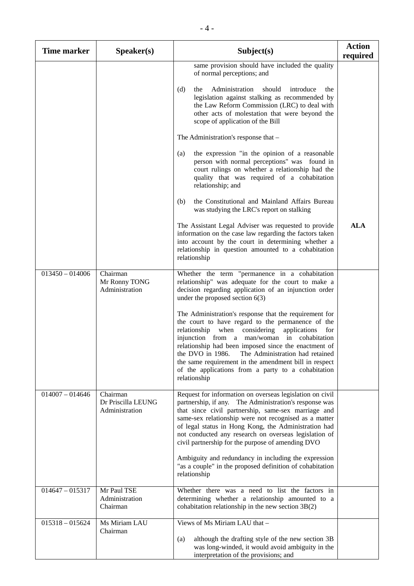| <b>Time marker</b> | Speaker(s)                                       | Subject(s)                                                                                                                                                                                                                                                                                                                                                                                                                                                       | <b>Action</b><br>required |
|--------------------|--------------------------------------------------|------------------------------------------------------------------------------------------------------------------------------------------------------------------------------------------------------------------------------------------------------------------------------------------------------------------------------------------------------------------------------------------------------------------------------------------------------------------|---------------------------|
|                    |                                                  | same provision should have included the quality<br>of normal perceptions; and                                                                                                                                                                                                                                                                                                                                                                                    |                           |
|                    |                                                  | Administration<br>(d)<br>should<br>introduce<br>the<br>the<br>legislation against stalking as recommended by<br>the Law Reform Commission (LRC) to deal with<br>other acts of molestation that were beyond the<br>scope of application of the Bill                                                                                                                                                                                                               |                           |
|                    |                                                  | The Administration's response that -                                                                                                                                                                                                                                                                                                                                                                                                                             |                           |
|                    |                                                  | the expression "in the opinion of a reasonable<br>(a)<br>person with normal perceptions" was found in<br>court rulings on whether a relationship had the<br>quality that was required of a cohabitation<br>relationship; and                                                                                                                                                                                                                                     |                           |
|                    |                                                  | the Constitutional and Mainland Affairs Bureau<br>(b)<br>was studying the LRC's report on stalking                                                                                                                                                                                                                                                                                                                                                               |                           |
|                    |                                                  | The Assistant Legal Adviser was requested to provide<br>information on the case law regarding the factors taken<br>into account by the court in determining whether a<br>relationship in question amounted to a cohabitation<br>relationship                                                                                                                                                                                                                     | <b>ALA</b>                |
| $013450 - 014006$  | Chairman<br>Mr Ronny TONG<br>Administration      | Whether the term "permanence in a cohabitation<br>relationship" was adequate for the court to make a<br>decision regarding application of an injunction order<br>under the proposed section $6(3)$                                                                                                                                                                                                                                                               |                           |
|                    |                                                  | The Administration's response that the requirement for<br>the court to have regard to the permanence of the<br>relationship when<br>considering<br>applications<br>for<br>injunction from a man/woman in cohabitation<br>relationship had been imposed since the enactment of<br>the DVO in 1986. The Administration had retained<br>the same requirement in the amendment bill in respect<br>of the applications from a party to a cohabitation<br>relationship |                           |
| $014007 - 014646$  | Chairman<br>Dr Priscilla LEUNG<br>Administration | Request for information on overseas legislation on civil<br>partnership, if any. The Administration's response was<br>that since civil partnership, same-sex marriage and<br>same-sex relationship were not recognised as a matter<br>of legal status in Hong Kong, the Administration had<br>not conducted any research on overseas legislation of<br>civil partnership for the purpose of amending DVO                                                         |                           |
|                    |                                                  | Ambiguity and redundancy in including the expression<br>"as a couple" in the proposed definition of cohabitation<br>relationship                                                                                                                                                                                                                                                                                                                                 |                           |
| $014647 - 015317$  | Mr Paul TSE<br>Administration<br>Chairman        | Whether there was a need to list the factors in<br>determining whether a relationship amounted to a<br>cohabitation relationship in the new section 3B(2)                                                                                                                                                                                                                                                                                                        |                           |
| $015318 - 015624$  | Ms Miriam LAU<br>Chairman                        | Views of Ms Miriam LAU that -<br>although the drafting style of the new section 3B<br>(a)<br>was long-winded, it would avoid ambiguity in the<br>interpretation of the provisions; and                                                                                                                                                                                                                                                                           |                           |